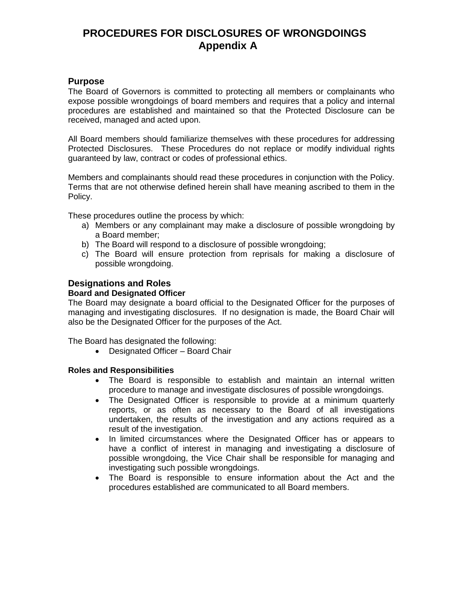# **PROCEDURES FOR DISCLOSURES OF WRONGDOINGS Appendix A**

## **Purpose**

The Board of Governors is committed to protecting all members or complainants who expose possible wrongdoings of board members and requires that a policy and internal procedures are established and maintained so that the Protected Disclosure can be received, managed and acted upon.

All Board members should familiarize themselves with these procedures for addressing Protected Disclosures. These Procedures do not replace or modify individual rights guaranteed by law, contract or codes of professional ethics.

Members and complainants should read these procedures in conjunction with the Policy. Terms that are not otherwise defined herein shall have meaning ascribed to them in the Policy.

These procedures outline the process by which:

- a) Members or any complainant may make a disclosure of possible wrongdoing by a Board member;
- b) The Board will respond to a disclosure of possible wrongdoing;
- c) The Board will ensure protection from reprisals for making a disclosure of possible wrongdoing.

## **Designations and Roles**

#### **Board and Designated Officer**

The Board may designate a board official to the Designated Officer for the purposes of managing and investigating disclosures. If no designation is made, the Board Chair will also be the Designated Officer for the purposes of the Act.

The Board has designated the following:

Designated Officer – Board Chair

## **Roles and Responsibilities**

- The Board is responsible to establish and maintain an internal written procedure to manage and investigate disclosures of possible wrongdoings.
- The Designated Officer is responsible to provide at a minimum quarterly reports, or as often as necessary to the Board of all investigations undertaken, the results of the investigation and any actions required as a result of the investigation.
- In limited circumstances where the Designated Officer has or appears to have a conflict of interest in managing and investigating a disclosure of possible wrongdoing, the Vice Chair shall be responsible for managing and investigating such possible wrongdoings.
- The Board is responsible to ensure information about the Act and the procedures established are communicated to all Board members.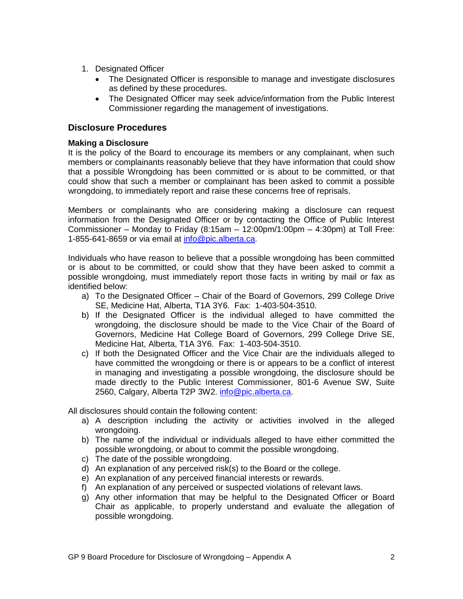- 1. Designated Officer
	- The Designated Officer is responsible to manage and investigate disclosures as defined by these procedures.
	- The Designated Officer may seek advice/information from the Public Interest Commissioner regarding the management of investigations.

## **Disclosure Procedures**

#### **Making a Disclosure**

It is the policy of the Board to encourage its members or any complainant, when such members or complainants reasonably believe that they have information that could show that a possible Wrongdoing has been committed or is about to be committed, or that could show that such a member or complainant has been asked to commit a possible wrongdoing, to immediately report and raise these concerns free of reprisals.

Members or complainants who are considering making a disclosure can request information from the Designated Officer or by contacting the Office of Public Interest Commissioner – Monday to Friday  $(8:15am - 12:00pm/1:00pm - 4:30pm)$  at Toll Free: 1-855-641-8659 or via email at [info@pic.alberta.ca.](mailto:info@pic.alberta.ca)

Individuals who have reason to believe that a possible wrongdoing has been committed or is about to be committed, or could show that they have been asked to commit a possible wrongdoing, must immediately report those facts in writing by mail or fax as identified below:

- a) To the Designated Officer Chair of the Board of Governors, 299 College Drive SE, Medicine Hat, Alberta, T1A 3Y6. Fax: 1-403-504-3510.
- b) If the Designated Officer is the individual alleged to have committed the wrongdoing, the disclosure should be made to the Vice Chair of the Board of Governors, Medicine Hat College Board of Governors, 299 College Drive SE, Medicine Hat, Alberta, T1A 3Y6. Fax: 1-403-504-3510.
- c) If both the Designated Officer and the Vice Chair are the individuals alleged to have committed the wrongdoing or there is or appears to be a conflict of interest in managing and investigating a possible wrongdoing, the disclosure should be made directly to the Public Interest Commissioner, 801-6 Avenue SW, Suite 2560, Calgary, Alberta T2P 3W2. [info@pic.alberta.ca.](mailto:info@pic.alberta.ca)

All disclosures should contain the following content:

- a) A description including the activity or activities involved in the alleged wrongdoing.
- b) The name of the individual or individuals alleged to have either committed the possible wrongdoing, or about to commit the possible wrongdoing.
- c) The date of the possible wrongdoing.
- d) An explanation of any perceived risk(s) to the Board or the college.
- e) An explanation of any perceived financial interests or rewards.
- f) An explanation of any perceived or suspected violations of relevant laws.
- g) Any other information that may be helpful to the Designated Officer or Board Chair as applicable, to properly understand and evaluate the allegation of possible wrongdoing.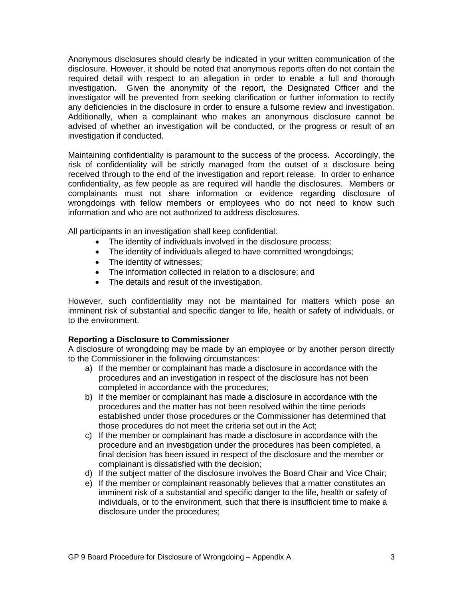Anonymous disclosures should clearly be indicated in your written communication of the disclosure. However, it should be noted that anonymous reports often do not contain the required detail with respect to an allegation in order to enable a full and thorough investigation. Given the anonymity of the report, the Designated Officer and the investigator will be prevented from seeking clarification or further information to rectify any deficiencies in the disclosure in order to ensure a fulsome review and investigation. Additionally, when a complainant who makes an anonymous disclosure cannot be advised of whether an investigation will be conducted, or the progress or result of an investigation if conducted.

Maintaining confidentiality is paramount to the success of the process. Accordingly, the risk of confidentiality will be strictly managed from the outset of a disclosure being received through to the end of the investigation and report release. In order to enhance confidentiality, as few people as are required will handle the disclosures. Members or complainants must not share information or evidence regarding disclosure of wrongdoings with fellow members or employees who do not need to know such information and who are not authorized to address disclosures.

All participants in an investigation shall keep confidential:

- The identity of individuals involved in the disclosure process;
- The identity of individuals alleged to have committed wrongdoings;
- The identity of witnesses;
- The information collected in relation to a disclosure; and
- The details and result of the investigation.

However, such confidentiality may not be maintained for matters which pose an imminent risk of substantial and specific danger to life, health or safety of individuals, or to the environment.

## **Reporting a Disclosure to Commissioner**

A disclosure of wrongdoing may be made by an employee or by another person directly to the Commissioner in the following circumstances:

- a) If the member or complainant has made a disclosure in accordance with the procedures and an investigation in respect of the disclosure has not been completed in accordance with the procedures;
- b) If the member or complainant has made a disclosure in accordance with the procedures and the matter has not been resolved within the time periods established under those procedures or the Commissioner has determined that those procedures do not meet the criteria set out in the Act;
- c) If the member or complainant has made a disclosure in accordance with the procedure and an investigation under the procedures has been completed, a final decision has been issued in respect of the disclosure and the member or complainant is dissatisfied with the decision;
- d) If the subject matter of the disclosure involves the Board Chair and Vice Chair;
- e) If the member or complainant reasonably believes that a matter constitutes an imminent risk of a substantial and specific danger to the life, health or safety of individuals, or to the environment, such that there is insufficient time to make a disclosure under the procedures;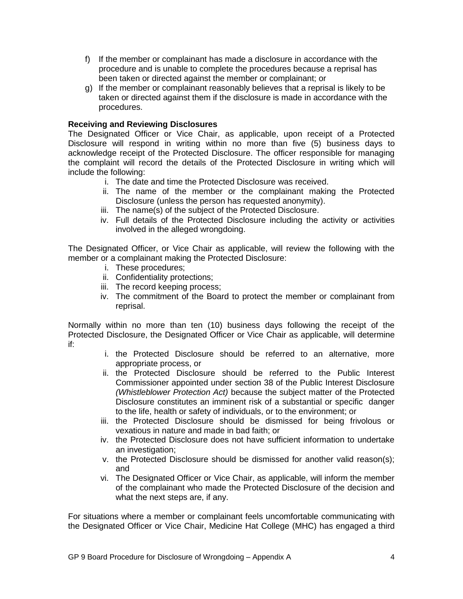- f) If the member or complainant has made a disclosure in accordance with the procedure and is unable to complete the procedures because a reprisal has been taken or directed against the member or complainant; or
- g) If the member or complainant reasonably believes that a reprisal is likely to be taken or directed against them if the disclosure is made in accordance with the procedures.

## **Receiving and Reviewing Disclosures**

The Designated Officer or Vice Chair, as applicable, upon receipt of a Protected Disclosure will respond in writing within no more than five (5) business days to acknowledge receipt of the Protected Disclosure. The officer responsible for managing the complaint will record the details of the Protected Disclosure in writing which will include the following:

- i. The date and time the Protected Disclosure was received.
- ii. The name of the member or the complainant making the Protected Disclosure (unless the person has requested anonymity).
- iii. The name(s) of the subject of the Protected Disclosure.
- iv. Full details of the Protected Disclosure including the activity or activities involved in the alleged wrongdoing.

The Designated Officer, or Vice Chair as applicable, will review the following with the member or a complainant making the Protected Disclosure:

- i. These procedures;
- ii. Confidentiality protections;
- iii. The record keeping process;
- iv. The commitment of the Board to protect the member or complainant from reprisal.

Normally within no more than ten (10) business days following the receipt of the Protected Disclosure, the Designated Officer or Vice Chair as applicable, will determine if:

- i. the Protected Disclosure should be referred to an alternative, more appropriate process, or
- ii. the Protected Disclosure should be referred to the Public Interest Commissioner appointed under section 38 of the Public Interest Disclosure *(Whistleblower Protection Act)* because the subject matter of the Protected Disclosure constitutes an imminent risk of a substantial or specific danger to the life, health or safety of individuals, or to the environment; or
- iii. the Protected Disclosure should be dismissed for being frivolous or vexatious in nature and made in bad faith; or
- iv. the Protected Disclosure does not have sufficient information to undertake an investigation;
- v. the Protected Disclosure should be dismissed for another valid reason(s); and
- vi. The Designated Officer or Vice Chair, as applicable, will inform the member of the complainant who made the Protected Disclosure of the decision and what the next steps are, if any.

For situations where a member or complainant feels uncomfortable communicating with the Designated Officer or Vice Chair, Medicine Hat College (MHC) has engaged a third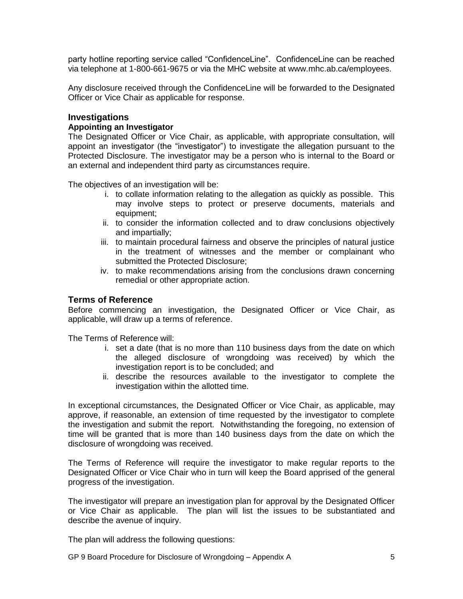party hotline reporting service called "ConfidenceLine". ConfidenceLine can be reached via telephone at 1-800-661-9675 or via the MHC website at www.mhc.ab.ca/employees.

Any disclosure received through the ConfidenceLine will be forwarded to the Designated Officer or Vice Chair as applicable for response.

#### **Investigations**

#### **Appointing an Investigator**

The Designated Officer or Vice Chair, as applicable, with appropriate consultation, will appoint an investigator (the "investigator") to investigate the allegation pursuant to the Protected Disclosure. The investigator may be a person who is internal to the Board or an external and independent third party as circumstances require.

The objectives of an investigation will be:

- i. to collate information relating to the allegation as quickly as possible. This may involve steps to protect or preserve documents, materials and equipment;
- ii. to consider the information collected and to draw conclusions objectively and impartially;
- iii. to maintain procedural fairness and observe the principles of natural justice in the treatment of witnesses and the member or complainant who submitted the Protected Disclosure;
- iv. to make recommendations arising from the conclusions drawn concerning remedial or other appropriate action.

#### **Terms of Reference**

Before commencing an investigation, the Designated Officer or Vice Chair, as applicable, will draw up a terms of reference.

The Terms of Reference will:

- i. set a date (that is no more than 110 business days from the date on which the alleged disclosure of wrongdoing was received) by which the investigation report is to be concluded; and
- ii. describe the resources available to the investigator to complete the investigation within the allotted time.

In exceptional circumstances, the Designated Officer or Vice Chair, as applicable, may approve, if reasonable, an extension of time requested by the investigator to complete the investigation and submit the report. Notwithstanding the foregoing, no extension of time will be granted that is more than 140 business days from the date on which the disclosure of wrongdoing was received.

The Terms of Reference will require the investigator to make regular reports to the Designated Officer or Vice Chair who in turn will keep the Board apprised of the general progress of the investigation.

The investigator will prepare an investigation plan for approval by the Designated Officer or Vice Chair as applicable. The plan will list the issues to be substantiated and describe the avenue of inquiry.

The plan will address the following questions:

GP 9 Board Procedure for Disclosure of Wrongdoing – Appendix A 5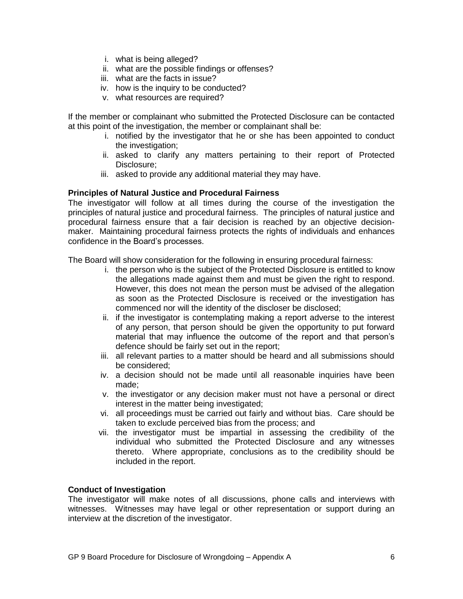- i. what is being alleged?
- ii. what are the possible findings or offenses?
- iii. what are the facts in issue?
- iv. how is the inquiry to be conducted?
- v. what resources are required?

If the member or complainant who submitted the Protected Disclosure can be contacted at this point of the investigation, the member or complainant shall be:

- i. notified by the investigator that he or she has been appointed to conduct the investigation;
- ii. asked to clarify any matters pertaining to their report of Protected Disclosure;
- iii. asked to provide any additional material they may have.

#### **Principles of Natural Justice and Procedural Fairness**

The investigator will follow at all times during the course of the investigation the principles of natural justice and procedural fairness. The principles of natural justice and procedural fairness ensure that a fair decision is reached by an objective decisionmaker. Maintaining procedural fairness protects the rights of individuals and enhances confidence in the Board's processes.

The Board will show consideration for the following in ensuring procedural fairness:

- i. the person who is the subject of the Protected Disclosure is entitled to know the allegations made against them and must be given the right to respond. However, this does not mean the person must be advised of the allegation as soon as the Protected Disclosure is received or the investigation has commenced nor will the identity of the discloser be disclosed;
- ii. if the investigator is contemplating making a report adverse to the interest of any person, that person should be given the opportunity to put forward material that may influence the outcome of the report and that person's defence should be fairly set out in the report;
- iii. all relevant parties to a matter should be heard and all submissions should be considered;
- iv. a decision should not be made until all reasonable inquiries have been made;
- v. the investigator or any decision maker must not have a personal or direct interest in the matter being investigated;
- vi. all proceedings must be carried out fairly and without bias. Care should be taken to exclude perceived bias from the process; and
- vii. the investigator must be impartial in assessing the credibility of the individual who submitted the Protected Disclosure and any witnesses thereto. Where appropriate, conclusions as to the credibility should be included in the report.

#### **Conduct of Investigation**

The investigator will make notes of all discussions, phone calls and interviews with witnesses. Witnesses may have legal or other representation or support during an interview at the discretion of the investigator.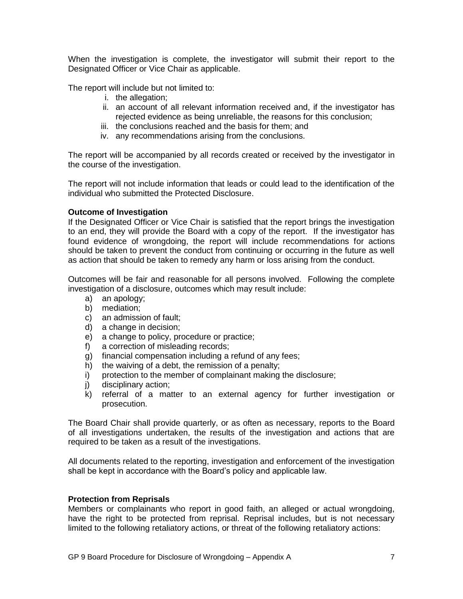When the investigation is complete, the investigator will submit their report to the Designated Officer or Vice Chair as applicable.

The report will include but not limited to:

- i. the allegation;
- ii. an account of all relevant information received and, if the investigator has rejected evidence as being unreliable, the reasons for this conclusion;
- iii. the conclusions reached and the basis for them; and
- iv. any recommendations arising from the conclusions.

The report will be accompanied by all records created or received by the investigator in the course of the investigation.

The report will not include information that leads or could lead to the identification of the individual who submitted the Protected Disclosure.

#### **Outcome of Investigation**

If the Designated Officer or Vice Chair is satisfied that the report brings the investigation to an end, they will provide the Board with a copy of the report. If the investigator has found evidence of wrongdoing, the report will include recommendations for actions should be taken to prevent the conduct from continuing or occurring in the future as well as action that should be taken to remedy any harm or loss arising from the conduct.

Outcomes will be fair and reasonable for all persons involved. Following the complete investigation of a disclosure, outcomes which may result include:

- a) an apology;
- b) mediation;
- c) an admission of fault;
- d) a change in decision;
- e) a change to policy, procedure or practice;
- f) a correction of misleading records;
- g) financial compensation including a refund of any fees;
- h) the waiving of a debt, the remission of a penalty;
- i) protection to the member of complainant making the disclosure;
- j) disciplinary action;
- k) referral of a matter to an external agency for further investigation or prosecution.

The Board Chair shall provide quarterly, or as often as necessary, reports to the Board of all investigations undertaken, the results of the investigation and actions that are required to be taken as a result of the investigations.

All documents related to the reporting, investigation and enforcement of the investigation shall be kept in accordance with the Board's policy and applicable law.

#### **Protection from Reprisals**

Members or complainants who report in good faith, an alleged or actual wrongdoing, have the right to be protected from reprisal. Reprisal includes, but is not necessary limited to the following retaliatory actions, or threat of the following retaliatory actions: